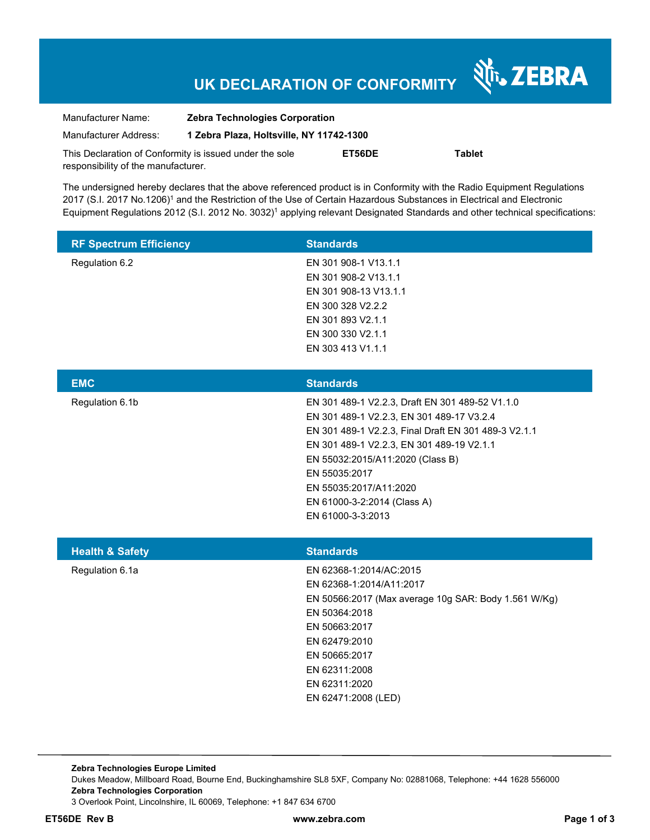## **UK DECLARATION OF CONFORMITY**

Nr. ZEBRA

| Manufacturer Name:                                      | <b>Zebra Technologies Corporation</b>    |        |               |  |
|---------------------------------------------------------|------------------------------------------|--------|---------------|--|
| Manufacturer Address:                                   | 1 Zebra Plaza, Holtsville, NY 11742-1300 |        |               |  |
| This Declaration of Conformity is issued under the sole |                                          | ET56DE | <b>Tablet</b> |  |
| responsibility of the manufacturer.                     |                                          |        |               |  |

The undersigned hereby declares that the above referenced product is in Conformity with the Radio Equipment Regulations 2017 (S.I. 2017 No.1206)<sup>1</sup> and the Restriction of the Use of Certain Hazardous Substances in Electrical and Electronic Equipment Regulations 2012 (S.I. 2012 No. 3032)<sup>1</sup> applying relevant Designated Standards and other technical specifications:

| <b>RF Spectrum Efficiency</b> | <b>Standards</b>                                                                                                                                                                                                                                                                                                                     |
|-------------------------------|--------------------------------------------------------------------------------------------------------------------------------------------------------------------------------------------------------------------------------------------------------------------------------------------------------------------------------------|
| Regulation 6.2                | EN 301 908-1 V13.1.1<br>EN 301 908-2 V13.1.1<br>EN 301 908-13 V13.1.1<br>EN 300 328 V2.2.2<br>EN 301 893 V2.1.1<br>EN 300 330 V2.1.1<br>EN 303 413 V1.1.1                                                                                                                                                                            |
| <b>EMC</b>                    | <b>Standards</b>                                                                                                                                                                                                                                                                                                                     |
| Regulation 6.1b               | EN 301 489-1 V2.2.3, Draft EN 301 489-52 V1.1.0<br>EN 301 489-1 V2.2.3, EN 301 489-17 V3.2.4<br>EN 301 489-1 V2.2.3, Final Draft EN 301 489-3 V2.1.1<br>EN 301 489-1 V2.2.3, EN 301 489-19 V2.1.1<br>EN 55032:2015/A11:2020 (Class B)<br>EN 55035:2017<br>EN 55035:2017/A11:2020<br>EN 61000-3-2:2014 (Class A)<br>EN 61000-3-3:2013 |
| <b>Health &amp; Safety</b>    | <b>Standards</b>                                                                                                                                                                                                                                                                                                                     |
| Regulation 6.1a               | EN 62368-1:2014/AC:2015<br>EN 62368-1:2014/A11:2017<br>EN 50566:2017 (Max average 10g SAR: Body 1.561 W/Kg)<br>EN 50364:2018<br>EN 50663:2017<br>EN 62479:2010<br>EN 50665:2017<br>EN 62311:2008<br>EN 62311:2020<br>EN 62471:2008 (LED)                                                                                             |

**Zebra Technologies Europe Limited**  Dukes Meadow, Millboard Road, Bourne End, Buckinghamshire SL8 5XF, Company No: 02881068, Telephone: +44 1628 556000 **Zebra Technologies Corporation**  3 Overlook Point, Lincolnshire, IL 60069, Telephone: +1 847 634 6700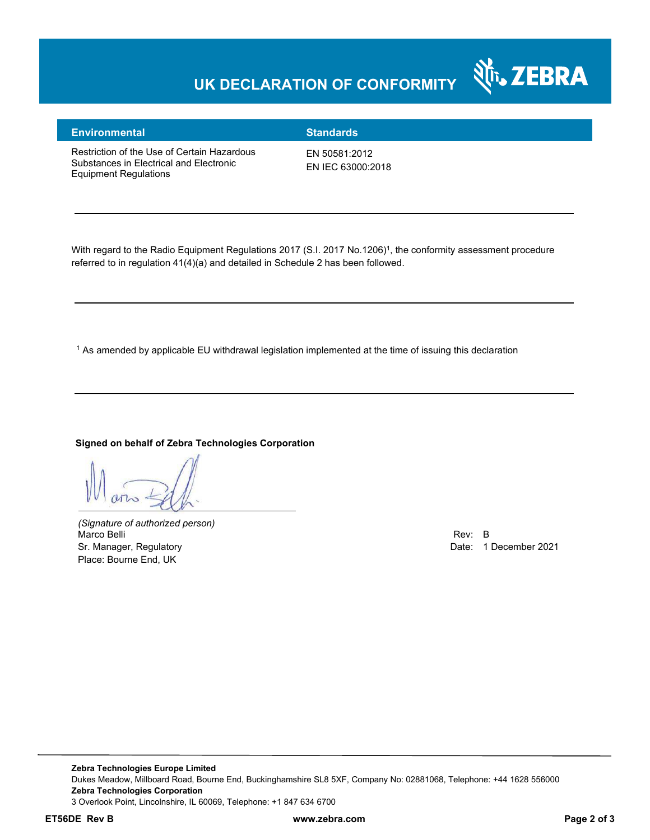## **UK DECLARATION OF CONFORMITY**



### **Environmental Standards**

Restriction of the Use of Certain Hazardous Substances in Electrical and Electronic Equipment Regulations

EN 50581:2012 EN IEC 63000:2018

With regard to the Radio Equipment Regulations 2017 (S.I. 2017 No.1206)<sup>1</sup>, the conformity assessment procedure referred to in regulation 41(4)(a) and detailed in Schedule 2 has been followed.

 $^{\rm 1}$  As amended by applicable EU withdrawal legislation implemented at the time of issuing this declaration

#### **Signed on behalf of Zebra Technologies Corporation**

*(Signature of authorized person)* Marco Belli Rev: B مستقادة المستقادة المستقدمة المستقدمة المستقدمة المستقدمة المستقدمة المستقدمة المستقدمة المستقدمة Sr. Manager, Regulatory **Date: 1 December 2021** Place: Bourne End, UK